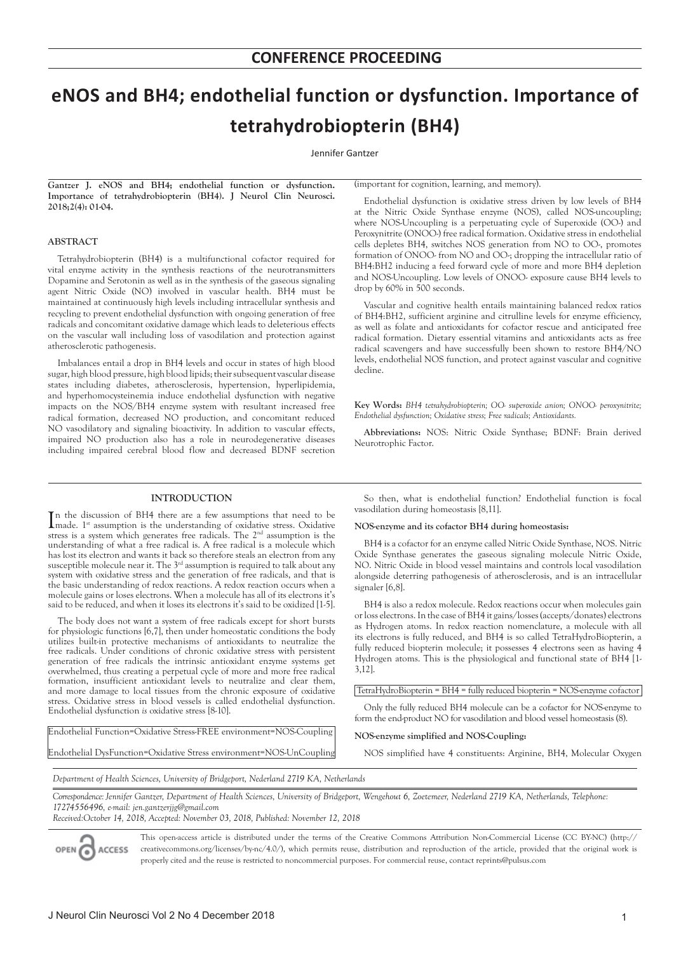# **eNOS and BH4; endothelial function or dysfunction. Importance of tetrahydrobiopterin (BH4)**

Jennifer Gantzer

**Gantzer J. eNOS and BH4; endothelial function or dysfunction. Importance of tetrahydrobiopterin (BH4). J Neurol Clin Neurosci. 2018;2(4): 01-04.**

# **ABSTRACT**

Tetrahydrobiopterin (BH4) is a multifunctional cofactor required for vital enzyme activity in the synthesis reactions of the neurotransmitters Dopamine and Serotonin as well as in the synthesis of the gaseous signaling agent Nitric Oxide (NO) involved in vascular health. BH4 must be maintained at continuously high levels including intracellular synthesis and recycling to prevent endothelial dysfunction with ongoing generation of free radicals and concomitant oxidative damage which leads to deleterious effects on the vascular wall including loss of vasodilation and protection against atherosclerotic pathogenesis.

Imbalances entail a drop in BH4 levels and occur in states of high blood sugar, high blood pressure, high blood lipids; their subsequent vascular disease states including diabetes, atherosclerosis, hypertension, hyperlipidemia, and hyperhomocysteinemia induce endothelial dysfunction with negative impacts on the NOS/BH4 enzyme system with resultant increased free radical formation, decreased NO production, and concomitant reduced NO vasodilatory and signaling bioactivity. In addition to vascular effects, impaired NO production also has a role in neurodegenerative diseases including impaired cerebral blood flow and decreased BDNF secretion

## **INTRODUCTION**

In the discussion of BH4 there are a few assumptions that need to be made.  $1^{st}$  assumption is the understanding of oxidative stress. Oxidative made. 1<sup>st</sup> assumption is the understanding of oxidative stress. Oxidative stress is a system which generates free radicals. The 2nd assumption is the understanding of what a free radical is. A free radical is a molecule which has lost its electron and wants it back so therefore steals an electron from any susceptible molecule near it. The  $3<sup>rd</sup>$  assumption is required to talk about any system with oxidative stress and the generation of free radicals, and that is the basic understanding of redox reactions. A redox reaction occurs when a molecule gains or loses electrons. When a molecule has all of its electrons it's said to be reduced, and when it loses its electrons it's said to be oxidized [1-5].

The body does not want a system of free radicals except for short bursts for physiologic functions [6,7], then under homeostatic conditions the body utilizes built-in protective mechanisms of antioxidants to neutralize the free radicals. Under conditions of chronic oxidative stress with persistent generation of free radicals the intrinsic antioxidant enzyme systems get overwhelmed, thus creating a perpetual cycle of more and more free radical formation, insufficient antioxidant levels to neutralize and clear them, and more damage to local tissues from the chronic exposure of oxidative stress. Oxidative stress in blood vessels is called endothelial dysfunction. Endothelial dysfunction *is* oxidative stress [8-10].

Endothelial Function=Oxidative Stress-FREE environment=NOS-Coupling Endothelial DysFunction=Oxidative Stress environment=NOS-UnCoupling (important for cognition, learning, and memory).

Endothelial dysfunction is oxidative stress driven by low levels of BH4 at the Nitric Oxide Synthase enzyme (NOS), called NOS-uncoupling; where NOS-Uncoupling is a perpetuating cycle of Superoxide (OO-) and Peroxynitrite (ONOO-) free radical formation. Oxidative stress in endothelial cells depletes BH4, switches NOS generation from NO to OO-, promotes formation of ONOO- from NO and OO-; dropping the intracellular ratio of BH4:BH2 inducing a feed forward cycle of more and more BH4 depletion and NOS-Uncoupling. Low levels of ONOO- exposure cause BH4 levels to drop by 60% in 500 seconds.

Vascular and cognitive health entails maintaining balanced redox ratios of BH4:BH2, sufficient arginine and citrulline levels for enzyme efficiency, as well as folate and antioxidants for cofactor rescue and anticipated free radical formation. Dietary essential vitamins and antioxidants acts as free radical scavengers and have successfully been shown to restore BH4/NO levels, endothelial NOS function, and protect against vascular and cognitive decline.

**Key Words:** *BH4 tetrahydrobiopterin; OO- superoxide anion; ONOO- peroxynitrite; Endothelial dysfunction; Oxidative stress; Free radicals; Antioxidants.*

**Abbreviations:** NOS: Nitric Oxide Synthase; BDNF: Brain derived Neurotrophic Factor.

So then, what is endothelial function? Endothelial function is focal vasodilation during homeostasis [8,11].

## **NOS-enzyme and its cofactor BH4 during homeostasis:**

BH4 is a cofactor for an enzyme called Nitric Oxide Synthase, NOS. Nitric Oxide Synthase generates the gaseous signaling molecule Nitric Oxide, NO. Nitric Oxide in blood vessel maintains and controls local vasodilation alongside deterring pathogenesis of atherosclerosis, and is an intracellular signaler [6,8].

BH4 is also a redox molecule. Redox reactions occur when molecules gain or loss electrons. In the case of BH4 it gains/losses (accepts/donates) electrons as Hydrogen atoms. In redox reaction nomenclature, a molecule with all its electrons is fully reduced, and BH4 is so called TetraHydroBiopterin, a fully reduced biopterin molecule; it possesses 4 electrons seen as having 4 Hydrogen atoms. This is the physiological and functional state of BH4 [1- 3,12].

TetraHydroBiopterin = BH4 = fully reduced biopterin = NOS-enzyme cofactor

Only the fully reduced BH4 molecule can be a cofactor for NOS-enzyme to form the end-product NO for vasodilation and blood vessel homeostasis (8).

## **NOS-enzyme simplified and NOS-Coupling:**

NOS simplified have 4 constituents: Arginine, BH4, Molecular Oxygen

*Department of Health Sciences, University of Bridgeport, Nederland 2719 KA, Netherlands* 

*Correspondence: Jennifer Gantzer, Department of Health Sciences, University of Bridgeport, Wengehout 6, Zoetemeer, Nederland 2719 KA, Netherlands, Telephone: 17274556496, e-mail: jen.gantzerjjg@gmail.com*

*Received:October 14, 2018, Accepted: November 03, 2018, Published: November 12, 2018*



This open-access article is distributed under the terms of the Creative Commons Attribution Non-Commercial License (CC BY-NC) (http:// creativecommons.org/licenses/by-nc/4.0/), which permits reuse, distribution and reproduction of the article, provided that the original work is properly cited and the reuse is restricted to noncommercial purposes. For commercial reuse, contact reprints@pulsus.com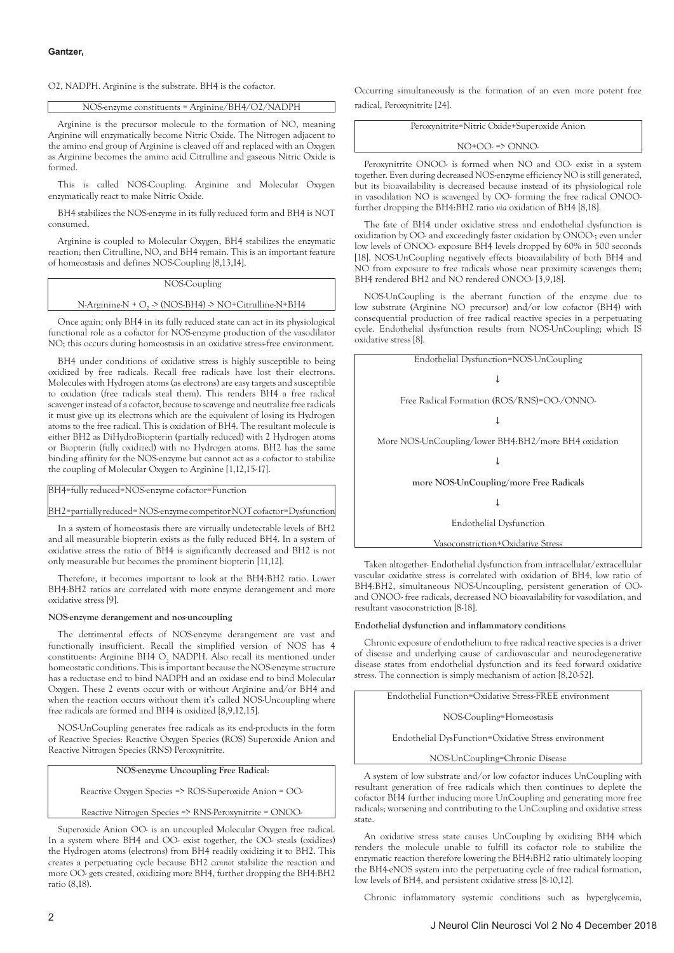O2, NADPH. Arginine is the substrate. BH4 is the cofactor.

NOS-enzyme constituents = Arginine/BH4/O2/NADPH

Arginine is the precursor molecule to the formation of NO, meaning Arginine will enzymatically become Nitric Oxide. The Nitrogen adjacent to the amino end group of Arginine is cleaved off and replaced with an Oxygen as Arginine becomes the amino acid Citrulline and gaseous Nitric Oxide is formed.

This is called NOS-Coupling. Arginine and Molecular Oxygen enzymatically react to make Nitric Oxide.

BH4 stabilizes the NOS-enzyme in its fully reduced form and BH4 is NOT consumed.

Arginine is coupled to Molecular Oxygen, BH4 stabilizes the enzymatic reaction; then Citrulline, NO, and BH4 remain. This is an important feature of homeostasis and defines NOS-Coupling [8,13,14].

# NOS-Coupling

# N-Arginine-N + O<sub>2</sub>  $\geq$  (NOS-BH4) -> NO+Citrulline-N+BH4

Once again; only BH4 in its fully reduced state can act in its physiological functional role as a cofactor for NOS-enzyme production of the vasodilator NO; this occurs during homeostasis in an oxidative stress-free environment.

BH4 under conditions of oxidative stress is highly susceptible to being oxidized by free radicals. Recall free radicals have lost their electrons. Molecules with Hydrogen atoms (as electrons) are easy targets and susceptible to oxidation (free radicals steal them). This renders BH4 a free radical scavenger instead of a cofactor, because to scavenge and neutralize free radicals it must give up its electrons which are the equivalent of losing its Hydrogen atoms to the free radical. This is oxidation of BH4. The resultant molecule is either BH2 as DiHydroBiopterin (partially reduced) with 2 Hydrogen atoms or Biopterin (fully oxidized) with no Hydrogen atoms. BH2 has the same binding affinity for the NOS-enzyme but cannot act as a cofactor to stabilize the coupling of Molecular Oxygen to Arginine [1,12,15-17].

BH4=fully reduced=NOS-enzyme cofactor=Function

BH2=partially reduced= NOS-enzyme competitor NOT cofactor=Dysfunction

In a system of homeostasis there are virtually undetectable levels of BH2 and all measurable biopterin exists as the fully reduced BH4. In a system of oxidative stress the ratio of BH4 is significantly decreased and BH2 is not only measurable but becomes the prominent biopterin [11,12].

Therefore, it becomes important to look at the BH4:BH2 ratio. Lower BH4:BH2 ratios are correlated with more enzyme derangement and more oxidative stress [9].

#### **NOS-enzyme derangement and nos-uncoupling**

The detrimental effects of NOS-enzyme derangement are vast and functionally insufficient. Recall the simplified version of NOS has 4 constituents: Arginine BH4  $O_2$  NADPH. Also recall its mentioned under homeostatic conditions. This is important because the NOS-enzyme structure has a reductase end to bind NADPH and an oxidase end to bind Molecular Oxygen. These 2 events occur with or without Arginine and/or BH4 and when the reaction occurs without them it's called NOS-Uncoupling where free radicals are formed and BH4 is oxidized [8,9,12,15].

NOS-UnCoupling generates free radicals as its end-products in the form of Reactive Species: Reactive Oxygen Species (ROS) Superoxide Anion and Reactive Nitrogen Species (RNS) Peroxynitrite.

 **NOS-enzyme Uncoupling Free Radical**:

Reactive Oxygen Species => ROS-Superoxide Anion = OO-

Reactive Nitrogen Species => RNS-Peroxynitrite = ONOO-

Superoxide Anion OO- is an uncoupled Molecular Oxygen free radical. In a system where BH4 and OO- exist together, the OO- steals (oxidizes) the Hydrogen atoms (electrons) from BH4 readily oxidizing it to BH2. This creates a perpetuating cycle because BH2 *cannot* stabilize the reaction and more OO- gets created, oxidizing more BH4, further dropping the BH4:BH2 ratio (8,18).

Occurring simultaneously is the formation of an even more potent free radical, Peroxynitrite [24].

Peroxynitrite=Nitric Oxide+Superoxide Anion

NO+OO- => ONNO-

Peroxynitrite ONOO- is formed when NO and OO- exist in a system together. Even during decreased NOS-enzyme efficiency NO is still generated, but its bioavailability is decreased because instead of its physiological role in vasodilation NO is scavenged by OO- forming the free radical ONOOfurther dropping the BH4:BH2 ratio *via* oxidation of BH4 [8,18].

The fate of BH4 under oxidative stress and endothelial dysfunction is oxidization by OO- and exceedingly faster oxidation by ONOO-; even under low levels of ONOO- exposure BH4 levels dropped by 60% in 500 seconds [18]. NOS-UnCoupling negatively effects bioavailability of both BH4 and NO from exposure to free radicals whose near proximity scavenges them; BH4 rendered BH2 and NO rendered ONOO- [3,9,18].

NOS-UnCoupling is the aberrant function of the enzyme due to low substrate (Arginine NO precursor) and/or low cofactor (BH4) with consequential production of free radical reactive species in a perpetuating cycle. Endothelial dysfunction results from NOS-UnCoupling; which IS oxidative stress [8].

| Endothelial Dysfunction=NOS-UnCoupling               |
|------------------------------------------------------|
|                                                      |
| Free Radical Formation (ROS/RNS)=OO-/ONNO-           |
|                                                      |
| More NOS-UnCoupling/lower BH4:BH2/more BH4 oxidation |
|                                                      |
| more NOS-UnCoupling/more Free Radicals               |
|                                                      |
| <b>Endothelial Dysfunction</b>                       |
| Vasoconstriction+Oxidative Stress                    |

Taken altogether- Endothelial dysfunction from intracellular/extracellular vascular oxidative stress is correlated with oxidation of BH4, low ratio of BH4:BH2, simultaneous NOS-Uncoupling, persistent generation of OOand ONOO- free radicals, decreased NO bioavailability for vasodilation, and resultant vasoconstriction [8-18].

## **Endothelial dysfunction and inflammatory conditions**

Chronic exposure of endothelium to free radical reactive species is a driver of disease and underlying cause of cardiovascular and neurodegenerative disease states from endothelial dysfunction and its feed forward oxidative stress. The connection is simply mechanism of action [8,20-52].

Endothelial Function=Oxidative Stress-FREE environment

NOS-Coupling=Homeostasis

Endothelial DysFunction=Oxidative Stress environment

NOS-UnCoupling=Chronic Disease

A system of low substrate and/or low cofactor induces UnCoupling with resultant generation of free radicals which then continues to deplete the cofactor BH4 further inducing more UnCoupling and generating more free radicals; worsening and contributing to the UnCoupling and oxidative stress state.

An oxidative stress state causes UnCoupling by oxidizing BH4 which renders the molecule unable to fulfill its cofactor role to stabilize the enzymatic reaction therefore lowering the BH4:BH2 ratio ultimately looping the BH4-eNOS system into the perpetuating cycle of free radical formation, low levels of BH4, and persistent oxidative stress [8-10,12].

Chronic inflammatory systemic conditions such as hyperglycemia,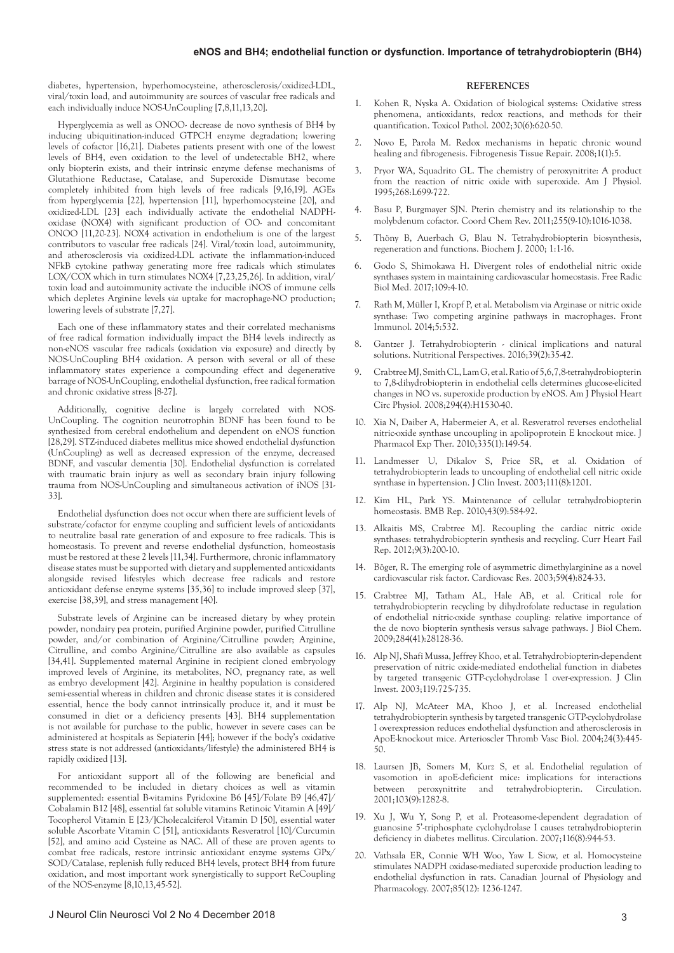diabetes, hypertension, hyperhomocysteine, atherosclerosis/oxidized-LDL, viral/toxin load, and autoimmunity are sources of vascular free radicals and each individually induce NOS-UnCoupling [7,8,11,13,20].

Hyperglycemia as well as ONOO- decrease de novo synthesis of BH4 by inducing ubiquitination-induced GTPCH enzyme degradation; lowering levels of cofactor [16,21]. Diabetes patients present with one of the lowest levels of BH4, even oxidation to the level of undetectable BH2, where only biopterin exists, and their intrinsic enzyme defense mechanisms of Glutathione Reductase, Catalase, and Superoxide Dismutase become completely inhibited from high levels of free radicals [9,16,19]. AGEs from hyperglycemia [22], hypertension [11], hyperhomocysteine [20], and oxidized-LDL [23] each individually activate the endothelial NADPHoxidase (NOX4) with significant production of OO- and concomitant ONOO [11,20-23]. NOX4 activation in endothelium is one of the largest contributors to vascular free radicals [24]. Viral/toxin load, autoimmunity, and atherosclerosis via oxidized-LDL activate the inflammation-induced NFkB cytokine pathway generating more free radicals which stimulates LOX/COX which in turn stimulates NOX4 [7,23,25,26]. In addition, viral/ toxin load and autoimmunity activate the inducible iNOS of immune cells which depletes Arginine levels *via* uptake for macrophage-NO production; lowering levels of substrate [7,27].

Each one of these inflammatory states and their correlated mechanisms of free radical formation individually impact the BH4 levels indirectly as non-eNOS vascular free radicals (oxidation via exposure) and directly by NOS-UnCoupling BH4 oxidation. A person with several or all of these inflammatory states experience a compounding effect and degenerative barrage of NOS-UnCoupling, endothelial dysfunction, free radical formation and chronic oxidative stress [8-27].

Additionally, cognitive decline is largely correlated with NOS-UnCoupling. The cognition neurotrophin BDNF has been found to be synthesized from cerebral endothelium and dependent on eNOS function [28,29]. STZ-induced diabetes mellitus mice showed endothelial dysfunction (UnCoupling) as well as decreased expression of the enzyme, decreased BDNF, and vascular dementia [30]. Endothelial dysfunction is correlated with traumatic brain injury as well as secondary brain injury following trauma from NOS-UnCoupling and simultaneous activation of iNOS [31- 33].

Endothelial dysfunction does not occur when there are sufficient levels of substrate/cofactor for enzyme coupling and sufficient levels of antioxidants to neutralize basal rate generation of and exposure to free radicals. This is homeostasis. To prevent and reverse endothelial dysfunction, homeostasis must be restored at these 2 levels [11,34]. Furthermore, chronic inflammatory disease states must be supported with dietary and supplemented antioxidants alongside revised lifestyles which decrease free radicals and restore antioxidant defense enzyme systems [35,36] to include improved sleep [37], exercise [38,39], and stress management [40].

Substrate levels of Arginine can be increased dietary by whey protein powder, nondairy pea protein, purified Arginine powder, purified Citrulline powder, and/or combination of Arginine/Citrulline powder; Arginine, Citrulline, and combo Arginine/Citrulline are also available as capsules [34,41]. Supplemented maternal Arginine in recipient cloned embryology improved levels of Arginine, its metabolites, NO, pregnancy rate, as well as embryo development [42]. Arginine in healthy population is considered semi-essential whereas in children and chronic disease states it is considered essential, hence the body cannot intrinsically produce it, and it must be consumed in diet or a deficiency presents [43]. BH4 supplementation is not available for purchase to the public, however in severe cases can be administered at hospitals as Sepiaterin [44]; however if the body's oxidative stress state is not addressed (antioxidants/lifestyle) the administered BH4 is rapidly oxidized [13].

For antioxidant support all of the following are beneficial and recommended to be included in dietary choices as well as vitamin supplemented: essential B-vitamins Pyridoxine B6 [45]/Folate B9 [46,47]/ Cobalamin B12 [48], essential fat soluble vitamins Retinoic Vitamin A [49]/ Tocopherol Vitamin E [23/]Cholecalciferol Vitamin D [50], essential water soluble Ascorbate Vitamin C [51], antioxidants Resveratrol [10]/Curcumin [52], and amino acid Cysteine as NAC. All of these are proven agents to combat free radicals, restore intrinsic antioxidant enzyme systems GPx/ SOD/Catalase, replenish fully reduced BH4 levels, protect BH4 from future oxidation, and most important work synergistically to support ReCoupling of the NOS-enzyme [8,10,13,45-52].

## **REFERENCES**

- 1. Kohen R, Nyska A. Oxidation of biological systems: Oxidative stress phenomena, antioxidants, redox reactions, and methods for their quantification. Toxicol Pathol. 2002;30(6):620-50.
- 2. Novo E, Parola M. Redox mechanisms in hepatic chronic wound healing and fibrogenesis. Fibrogenesis Tissue Repair. 2008;1(1):5.
- 3. Pryor WA, Squadrito GL. The chemistry of peroxynitrite: A product from the reaction of nitric oxide with superoxide. Am J Physiol. 1995;268:L699-722.
- 4. Basu P, Burgmayer SJN. Pterin chemistry and its relationship to the molybdenum cofactor. Coord Chem Rev. 2011;255(9-10):1016-1038.
- 5. Thöny B, Auerbach G, Blau N. Tetrahydrobiopterin biosynthesis, regeneration and functions. Biochem J. 2000; 1:1-16.
- 6. Godo S, Shimokawa H. Divergent roles of endothelial nitric oxide synthases system in maintaining cardiovascular homeostasis. Free Radic Biol Med. 2017;109:4-10.
- 7. Rath M, Müller I, Kropf P, et al. Metabolism via Arginase or nitric oxide synthase: Two competing arginine pathways in macrophages. Front Immunol. 2014;5:532.
- 8. Gantzer J. Tetrahydrobiopterin clinical implications and natural solutions. Nutritional Perspectives. 2016;39(2):35-42.
- 9. Crabtree MJ, Smith CL, Lam G, et al. Ratio of 5,6,7,8-tetrahydrobiopterin to 7,8-dihydrobiopterin in endothelial cells determines glucose-elicited changes in NO vs. superoxide production by eNOS. Am J Physiol Heart Circ Physiol. 2008;294(4):H1530-40.
- 10. Xia N, Daiber A, Habermeier A, et al. Resveratrol reverses endothelial nitric-oxide synthase uncoupling in apolipoprotein E knockout mice. J Pharmacol Exp Ther. 2010;335(1):149-54.
- 11. Landmesser U, Dikalov S, Price SR, et al. Oxidation of tetrahydrobiopterin leads to uncoupling of endothelial cell nitric oxide synthase in hypertension. J Clin Invest. 2003;111(8):1201.
- 12. Kim HL, Park YS. Maintenance of cellular tetrahydrobiopterin homeostasis. BMB Rep. 2010;43(9):584-92.
- 13. Alkaitis MS, Crabtree MJ. Recoupling the cardiac nitric oxide synthases: tetrahydrobiopterin synthesis and recycling. Curr Heart Fail Rep. 2012;9(3):200-10.
- 14. Böger, R. The emerging role of asymmetric dimethylarginine as a novel cardiovascular risk factor. Cardiovasc Res. 2003;59(4):824-33.
- 15. Crabtree MJ, Tatham AL, Hale AB, et al. Critical role for tetrahydrobiopterin recycling by dihydrofolate reductase in regulation of endothelial nitric-oxide synthase coupling: relative importance of the de novo biopterin synthesis versus salvage pathways. J Biol Chem. 2009;284(41):28128-36.
- 16. Alp NJ, Shafi Mussa, Jeffrey Khoo, et al. Tetrahydrobiopterin-dependent preservation of nitric oxide-mediated endothelial function in diabetes by targeted transgenic GTP-cyclohydrolase I over-expression. J Clin Invest. 2003;119:725-735.
- 17. Alp NJ, McAteer MA, Khoo J, et al. Increased endothelial tetrahydrobiopterin synthesis by targeted transgenic GTP-cyclohydrolase I overexpression reduces endothelial dysfunction and atherosclerosis in ApoE-knockout mice. Arterioscler Thromb Vasc Biol. 2004;24(3):445- 50.
- 18. Laursen JB, Somers M, Kurz S, et al. Endothelial regulation of vasomotion in apoE-deficient mice: implications for interactions between peroxynitrite and tetrahydrobiopterin. Circulation. 2001;103(9):1282-8.
- 19. Xu J, Wu Y, Song P, et al. Proteasome-dependent degradation of guanosine 5'-triphosphate cyclohydrolase I causes tetrahydrobiopterin deficiency in diabetes mellitus. Circulation. 2007;116(8):944-53.
- 20. Vathsala ER, Connie WH Woo, Yaw L Siow, et al. Homocysteine stimulates NADPH oxidase-mediated superoxide production leading to endothelial dysfunction in rats. Canadian Journal of Physiology and Pharmacology. 2007;85(12): 1236-1247.